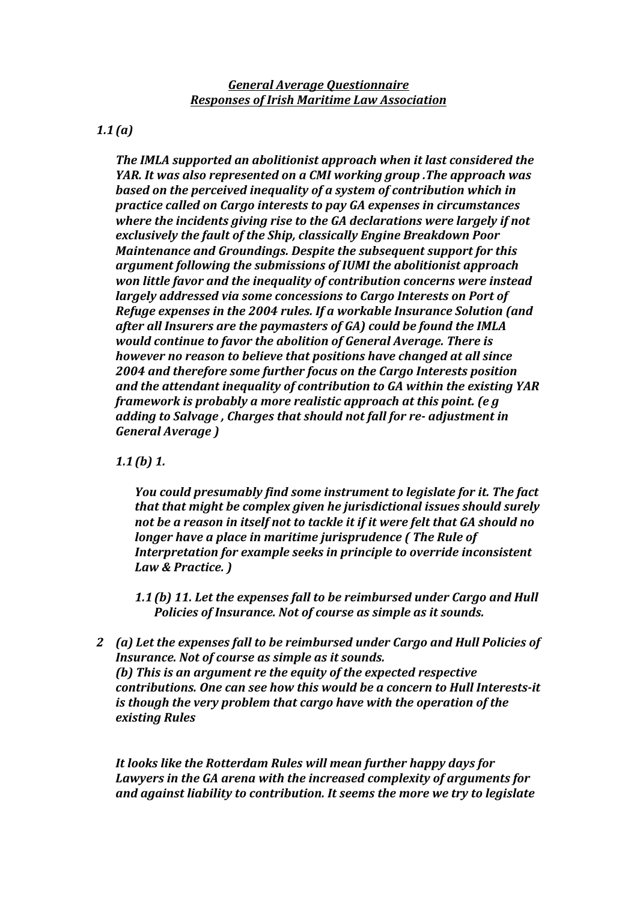*General Average Questionnaire Responses of Irish Maritime Law Association*

*1.1(a)*

**The IMLA supported an abolitionist approach when it last considered the** *YAR. It was also represented on a CMI working group .The approach was* **based** on the perceived inequality of a system of contribution which in *practice called on Cargo interests to pay GA expenses in circumstances where the incidents giving rise to the GA declarations were largely if not* exclusively the fault of the Ship, classically Engine Breakdown Poor *Maintenance and Groundings. Despite the subsequent support for this* argument following the submissions of IUMI the abolitionist approach *won little favor and the inequality of contribution concerns were instead largely addressed via some concessions to Cargo Interests on Port of Refuge expenses in the 2004 rules. If a workable Insurance Solution (and* after all Insurers are the paymasters of GA) could be found the *IMLA would continue to favor the abolition of General Average. There is however no reason to believe that positions have changed at all since* 2004 and therefore some further focus on the Cargo Interests position and the attendant inequality of contribution to GA within the existing YAR *framework is probably a more realistic approach at this point. (e.g. adding to Salvage, Charges that should not fall for re-adjustment in General Average )*

*1.1(b) 1.* 

*You could presumably find some instrument to legislate for it. The fact that that might be complex given he jurisdictional issues should surely* not be a reason in itself not to tackle it if it were felt that GA should no *longer have a place in maritime jurisprudence (The Rule of Interpretation for example seeks in principle to override inconsistent* Law & Practice. )

1.1(b) 11. Let the expenses fall to be reimbursed under Cargo and Hull **Policies of Insurance.** Not of course as simple as it sounds.

2 *(a)* Let the expenses fall to be reimbursed under Cargo and Hull Policies of *Insurance. Not of course as simple as it sounds. (b)* This is an argument re the equity of the expected respective *contributions. One can see how this would be a concern to Hull Interests-it is though the very problem that cargo have with the operation of the existing Rules*

It looks like the Rotterdam Rules will mean further happy days for Lawyers in the GA arena with the increased complexity of arguments for and against liability to contribution. It seems the more we try to legislate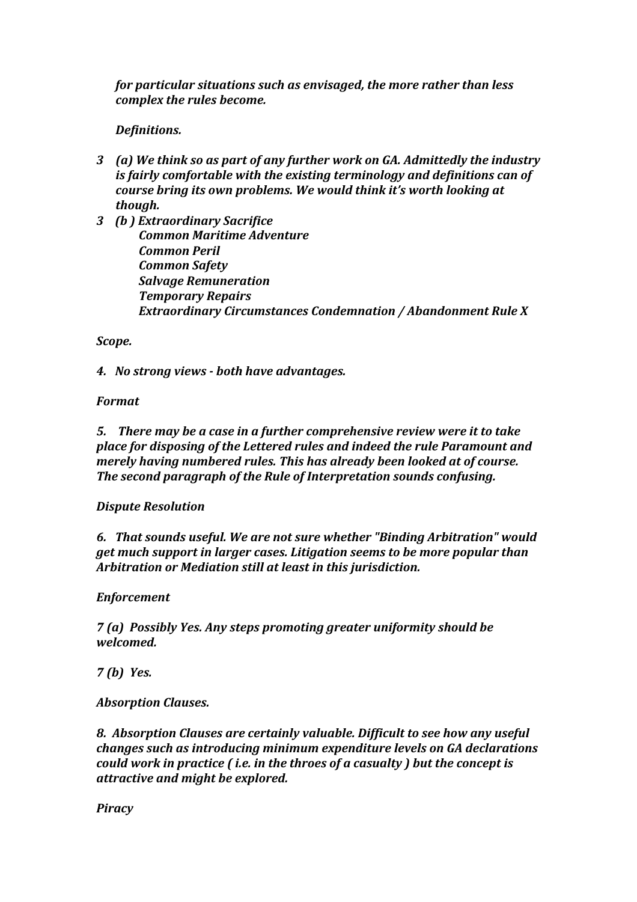*for particular situations such as envisaged, the more rather than less complex the rules become.* 

# *Definitions.*

- 3 *(a)* We think so as part of any further work on GA. Admittedly the industry *is fairly comfortable with the existing terminology and definitions can of course bring its own problems. We would think it's worth looking at though.*
- *3 (b ) Extraordinary Sacrifice Common Maritime Adventure Common Peril Common Safety* **Salvage Remuneration**  *Temporary Repairs Extraordinary Circumstances Condemnation / Abandonment Rule X*

#### *Scope.*

*4. No strong views - both have advantages.*

## *Format*

**5.** There may be a case in a further comprehensive review were it to take *place for disposing of the Lettered rules and indeed the rule Paramount and merely having numbered rules. This has already been looked at of course.* **The second paragraph of the Rule of Interpretation sounds confusing.** 

## *Dispute Resolution*

*6. That sounds useful. We are not sure whether "Binding Arbitration" would get much support in larger cases. Litigation seems to be more popular than Arbitration or Mediation still at least in this jurisdiction.* 

#### *Enforcement*

*7 (a) Possibly Yes. Any steps promoting greater uniformity should be welcomed.*

*7 (b) Yes.*

## *Absorption Clauses.*

**8.** Absorption Clauses are certainly valuable. Difficult to see how any useful *changes such as introducing minimum expenditure levels on GA declarations could* work in practice (*i.e.* in the throes of a casualty ) but the concept is *attractive and might be explored.* 

*Piracy*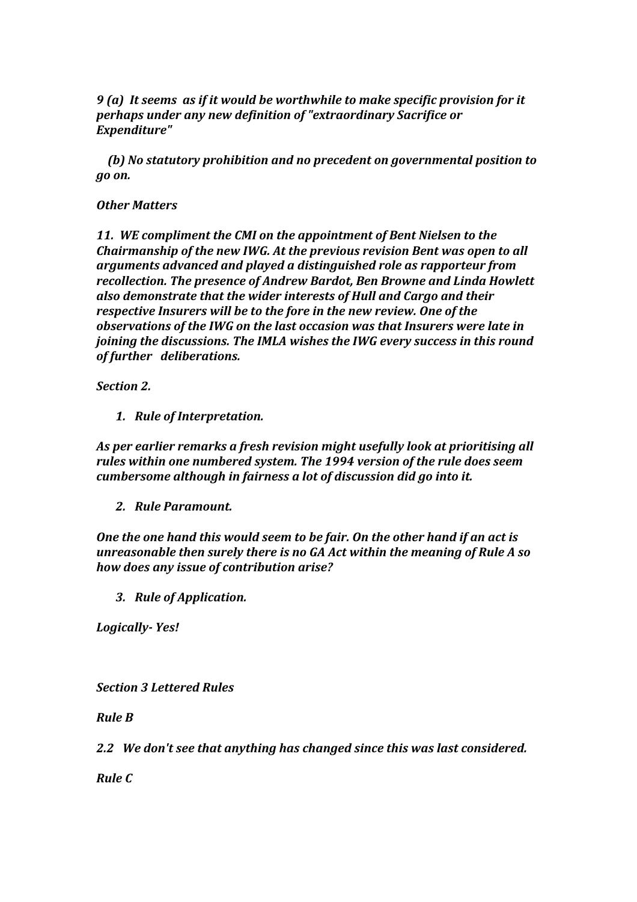*9* (a) It seems as if it would be worthwhile to make specific provision for it perhaps under any new definition of "extraordinary Sacrifice or *Expenditure"*

*(b)* No statutory prohibition and no precedent on governmental position to *go on.*

#### *Other Matters*

11. WE compliment the CMI on the appointment of Bent Nielsen to the *Chairmanship of the new IWG. At the previous revision Bent was open to all arguments advanced and played a distinguished role as rapporteur from recollection. The presence of Andrew Bardot, Ben Browne and Linda Howlett* also demonstrate that the wider interests of Hull and Cargo and their *respective Insurers will be to the fore in the new review. One of the observations of the IWG on the last occasion was that Insurers were late in joining the discussions. The IMLA wishes the IWG every success in this round of further deliberations.*

**Section 2.** 

*1. Rule of Interpretation.*

As per earlier remarks a fresh revision might usefully look at prioritising all *rules* within one numbered system. The 1994 version of the rule does seem *cumbersome although in fairness a lot of discussion did go into it.* 

*2. Rule Paramount.*

**One the one hand this would seem to be fair. On the other hand if an act is** *unreasonable then surely there is no GA Act within the meaning of Rule A so how does any issue of contribution arise?*

*3. Rule of Application.*

*Logically- Yes!*

*Section 3 Lettered Rules* 

*Rule B* 

2.2 We don't see that anything has changed since this was last considered.

*Rule C*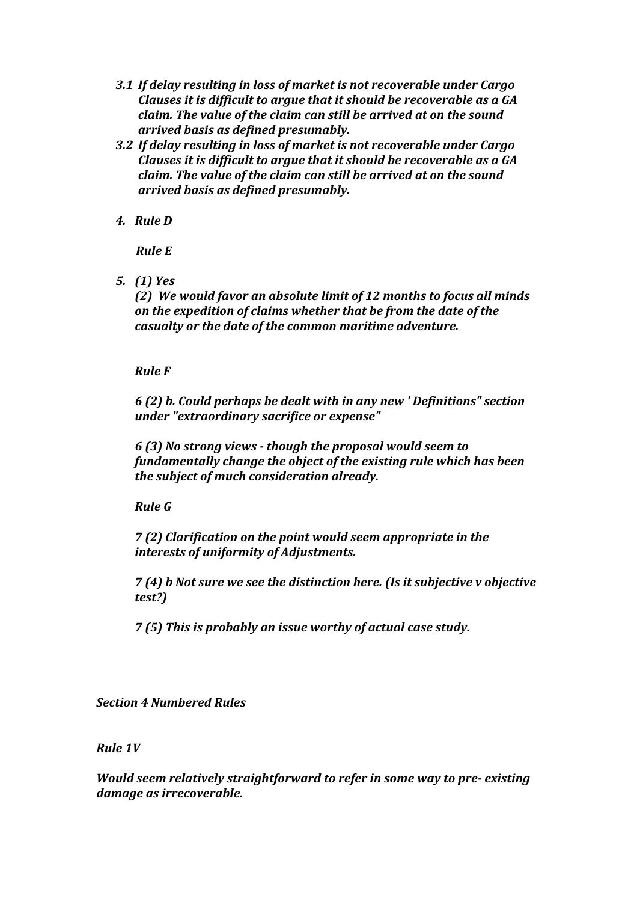- **3.1 If delay resulting in loss of market is not recoverable under Cargo** *Clauses it is difficult to argue that it should be recoverable as a GA claim.* The value of the claim can still be arrived at on the sound *arrived basis as defined presumably.*
- **3.2** If delay resulting in loss of market is not recoverable under Cargo *Clauses it is difficult to argue that it should be recoverable as a GA claim.* The value of the claim can still be arrived at on the sound *arrived basis as defined presumably.*
- *4. Rule D*

*Rule E* 

*5. (1) Yes*

*(2)* We would favor an absolute limit of 12 months to focus all minds on the expedition of claims whether that be from the date of the *casualty or the date of the common maritime adventure.* 

*Rule F* 

*6 (2) b. Could perhaps be dealt with in any new ' Definitions" section under "extraordinary sacrifice or expense"*

*6 (3) No strong views - though the proposal would seem to*  fundamentally change the object of the existing rule which has been *the subject of much consideration already.* 

*Rule G*

*7* (2) Clarification on the point would seem appropriate in the *interests of uniformity of Adjustments.*

*7 (4) b Not sure we see the distinction here. (Is it subjective v objective test?)*

*7* (5) This is probably an issue worthy of actual case study.

*Section 4 Numbered Rules*

**Rule 1V** 

*Would seem relatively straightforward to refer in some way to pre- existing damage as irrecoverable.*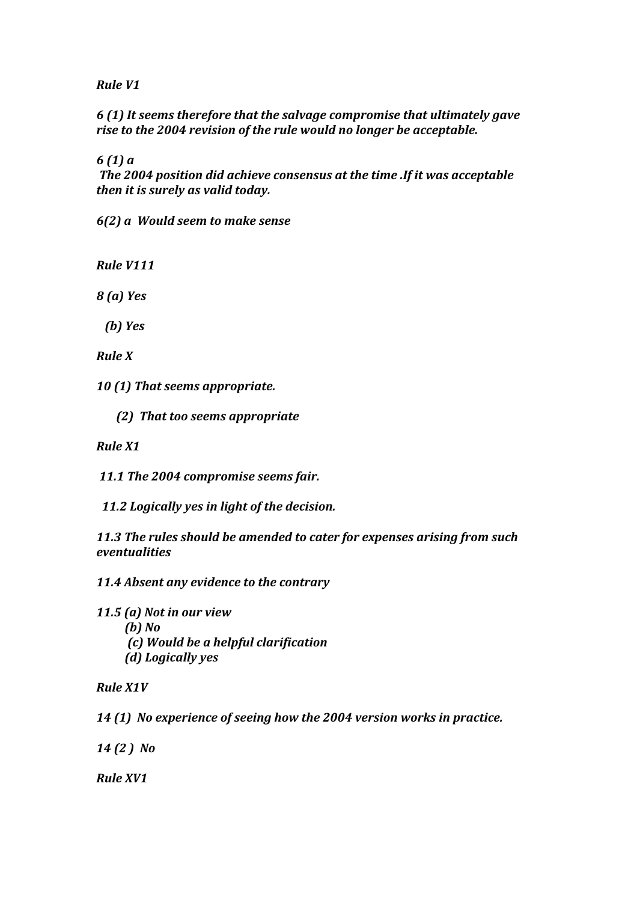*Rule V1*

*6 (1) It seems therefore that the salvage compromise that ultimately gave*  rise to the 2004 revision of the rule would no longer be acceptable.

*6 (1) a* 

The 2004 position did achieve consensus at the time .If it was acceptable *then it is surely as valid today.* 

*6(2) a Would seem to make sense*

*Rule V111*

*8 (a) Yes*

*(b)* Yes

*Rule X* 

*10 (1) That seems appropriate.*

 *(2) That too seems appropriate*

*Rule X1* 

11.1 The 2004 compromise seems fair.

11.2 Logically yes in light of the decision.

11.3 The rules should be amended to cater for expenses arising from such *eventualities*

11.4 *Absent any evidence to the contrary* 

*11.5 (a)* Not in our view

*<i>(b) No* 

- *(c) Would be a helpful clarification*
- *(d)* Logically yes

*Rule X1V*

14 (1) No experience of seeing how the 2004 version works in practice.

*14 (2 ) No*

*Rule XV1*